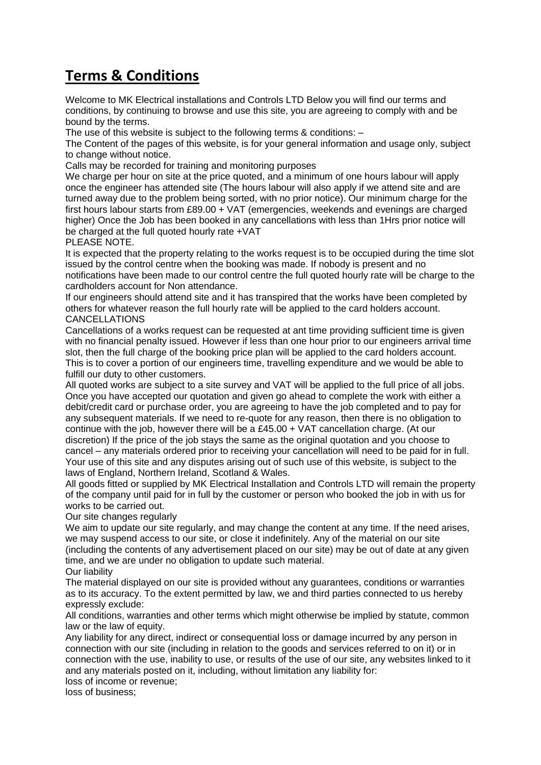## **Terms & Conditions**

Welcome to MK Electrical installations and Controls LTD Below you will find our terms and conditions, by continuing to browse and use this site, you are agreeing to comply with and be bound by the terms.

The use of this website is subject to the following terms & conditions: –

The Content of the pages of this website, is for your general information and usage only, subject to change without notice.

Calls may be recorded for training and monitoring purposes

We charge per hour on site at the price quoted, and a minimum of one hours labour will apply once the engineer has attended site (The hours labour will also apply if we attend site and are turned away due to the problem being sorted, with no prior notice). Our minimum charge for the first hours labour starts from £89.00 + VAT (emergencies, weekends and evenings are charged higher) Once the Job has been booked in any cancellations with less than 1Hrs prior notice will be charged at the full quoted hourly rate +VAT

PLEASE NOTE.

It is expected that the property relating to the works request is to be occupied during the time slot issued by the control centre when the booking was made. If nobody is present and no notifications have been made to our control centre the full quoted hourly rate will be charge to the cardholders account for Non attendance.

If our engineers should attend site and it has transpired that the works have been completed by others for whatever reason the full hourly rate will be applied to the card holders account. CANCELLATIONS

Cancellations of a works request can be requested at ant time providing sufficient time is given with no financial penalty issued. However if less than one hour prior to our engineers arrival time slot, then the full charge of the booking price plan will be applied to the card holders account. This is to cover a portion of our engineers time, travelling expenditure and we would be able to fulfill our duty to other customers.

All quoted works are subject to a site survey and VAT will be applied to the full price of all jobs. Once you have accepted our quotation and given go ahead to complete the work with either a debit/credit card or purchase order, you are agreeing to have the job completed and to pay for any subsequent materials. If we need to re-quote for any reason, then there is no obligation to continue with the job, however there will be a £45.00 + VAT cancellation charge. (At our discretion) If the price of the job stays the same as the original quotation and you choose to cancel – any materials ordered prior to receiving your cancellation will need to be paid for in full. Your use of this site and any disputes arising out of such use of this website, is subject to the laws of England, Northern Ireland, Scotland & Wales.

All goods fitted or supplied by MK Electrical Installation and Controls LTD will remain the property of the company until paid for in full by the customer or person who booked the job in with us for works to be carried out.

Our site changes regularly

We aim to update our site regularly, and may change the content at any time. If the need arises, we may suspend access to our site, or close it indefinitely. Any of the material on our site (including the contents of any advertisement placed on our site) may be out of date at any given time, and we are under no obligation to update such material.

Our liability

The material displayed on our site is provided without any guarantees, conditions or warranties as to its accuracy. To the extent permitted by law, we and third parties connected to us hereby expressly exclude:

All conditions, warranties and other terms which might otherwise be implied by statute, common law or the law of equity.

Any liability for any direct, indirect or consequential loss or damage incurred by any person in connection with our site (including in relation to the goods and services referred to on it) or in connection with the use, inability to use, or results of the use of our site, any websites linked to it and any materials posted on it, including, without limitation any liability for:

loss of income or revenue;

loss of business;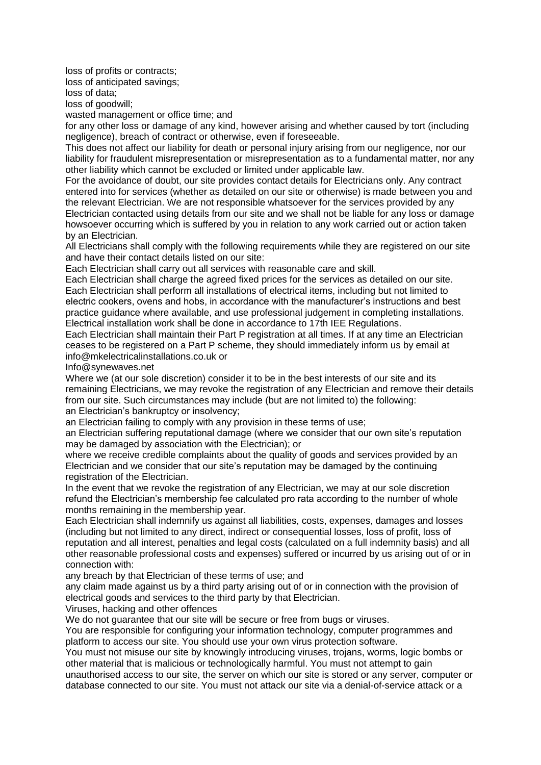loss of profits or contracts;

loss of anticipated savings;

loss of data;

loss of goodwill;

wasted management or office time; and

for any other loss or damage of any kind, however arising and whether caused by tort (including negligence), breach of contract or otherwise, even if foreseeable.

This does not affect our liability for death or personal injury arising from our negligence, nor our liability for fraudulent misrepresentation or misrepresentation as to a fundamental matter, nor any other liability which cannot be excluded or limited under applicable law.

For the avoidance of doubt, our site provides contact details for Electricians only. Any contract entered into for services (whether as detailed on our site or otherwise) is made between you and the relevant Electrician. We are not responsible whatsoever for the services provided by any Electrician contacted using details from our site and we shall not be liable for any loss or damage howsoever occurring which is suffered by you in relation to any work carried out or action taken by an Electrician.

All Electricians shall comply with the following requirements while they are registered on our site and have their contact details listed on our site:

Each Electrician shall carry out all services with reasonable care and skill.

Each Electrician shall charge the agreed fixed prices for the services as detailed on our site. Each Electrician shall perform all installations of electrical items, including but not limited to electric cookers, ovens and hobs, in accordance with the manufacturer's instructions and best practice guidance where available, and use professional judgement in completing installations. Electrical installation work shall be done in accordance to 17th IEE Regulations.

Each Electrician shall maintain their Part P registration at all times. If at any time an Electrician ceases to be registered on a Part P scheme, they should immediately inform us by email at info@mkelectricalinstallations.co.uk or

Info@synewaves.net

Where we (at our sole discretion) consider it to be in the best interests of our site and its remaining Electricians, we may revoke the registration of any Electrician and remove their details from our site. Such circumstances may include (but are not limited to) the following: an Electrician's bankruptcy or insolvency;

an Electrician failing to comply with any provision in these terms of use;

an Electrician suffering reputational damage (where we consider that our own site's reputation may be damaged by association with the Electrician); or

where we receive credible complaints about the quality of goods and services provided by an Electrician and we consider that our site's reputation may be damaged by the continuing registration of the Electrician.

In the event that we revoke the registration of any Electrician, we may at our sole discretion refund the Electrician's membership fee calculated pro rata according to the number of whole months remaining in the membership year.

Each Electrician shall indemnify us against all liabilities, costs, expenses, damages and losses (including but not limited to any direct, indirect or consequential losses, loss of profit, loss of reputation and all interest, penalties and legal costs (calculated on a full indemnity basis) and all other reasonable professional costs and expenses) suffered or incurred by us arising out of or in connection with:

any breach by that Electrician of these terms of use; and

any claim made against us by a third party arising out of or in connection with the provision of electrical goods and services to the third party by that Electrician.

Viruses, hacking and other offences

We do not guarantee that our site will be secure or free from bugs or viruses.

You are responsible for configuring your information technology, computer programmes and platform to access our site. You should use your own virus protection software.

You must not misuse our site by knowingly introducing viruses, trojans, worms, logic bombs or other material that is malicious or technologically harmful. You must not attempt to gain unauthorised access to our site, the server on which our site is stored or any server, computer or database connected to our site. You must not attack our site via a denial-of-service attack or a